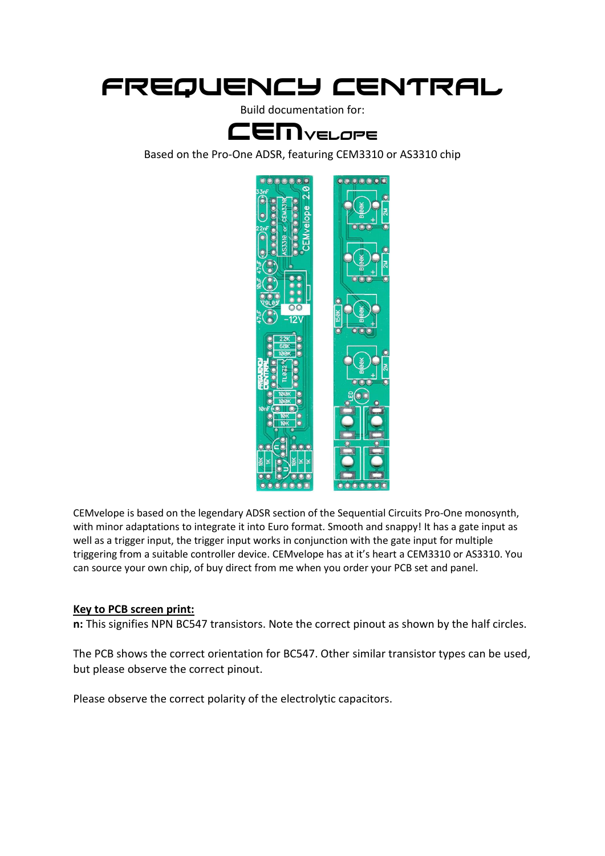# Frequency central

Build documentation for:

## CEMvelope

Based on the Pro-One ADSR, featuring CEM3310 or AS3310 chip



CEMvelope is based on the legendary ADSR section of the Sequential Circuits Pro-One monosynth, with minor adaptations to integrate it into Euro format. Smooth and snappy! It has a gate input as well as a trigger input, the trigger input works in conjunction with the gate input for multiple triggering from a suitable controller device. CEMvelope has at it's heart a CEM3310 or AS3310. You can source your own chip, of buy direct from me when you order your PCB set and panel.

#### **Key to PCB screen print:**

**n:** This signifies NPN BC547 transistors. Note the correct pinout as shown by the half circles.

The PCB shows the correct orientation for BC547. Other similar transistor types can be used, but please observe the correct pinout.

Please observe the correct polarity of the electrolytic capacitors.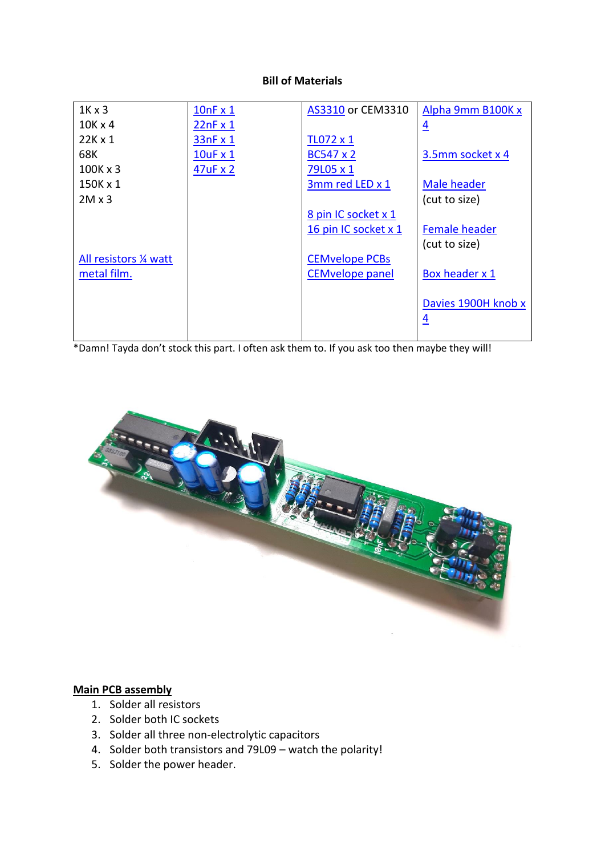#### **Bill of Materials**

| $1K \times 3$          | 10nFx1          | AS3310 or CEM3310      | Alpha 9mm B100K x                     |
|------------------------|-----------------|------------------------|---------------------------------------|
| $10K \times 4$         | 22nFx1          |                        | $\overline{4}$                        |
| $22K \times 1$         | 33nFx1          | TL072 x 1              |                                       |
| 68K                    | $10uF \times 1$ | BC547 x 2              | 3.5mm socket x 4                      |
| $100K \times 3$        | 47uF x 2        | 79L05 x 1              |                                       |
| 150K x 1               |                 | 3mm red LED x 1        | <b>Male header</b>                    |
| $2M \times 3$          |                 |                        | (cut to size)                         |
|                        |                 | 8 pin IC socket x 1    |                                       |
|                        |                 | 16 pin IC socket x 1   | <b>Female header</b>                  |
|                        |                 |                        | (cut to size)                         |
| All resistors 1/4 watt |                 | <b>CEMvelope PCBs</b>  |                                       |
| metal film.            |                 | <b>CEMvelope panel</b> | Box header x 1                        |
|                        |                 |                        | Davies 1900H knob x<br>$\overline{4}$ |

\*Damn! Tayda don't stock this part. I often ask them to. If you ask too then maybe they will!



### **Main PCB assembly**

- 1. Solder all resistors
- 2. Solder both IC sockets
- 3. Solder all three non-electrolytic capacitors
- 4. Solder both transistors and 79L09 watch the polarity!
- 5. Solder the power header.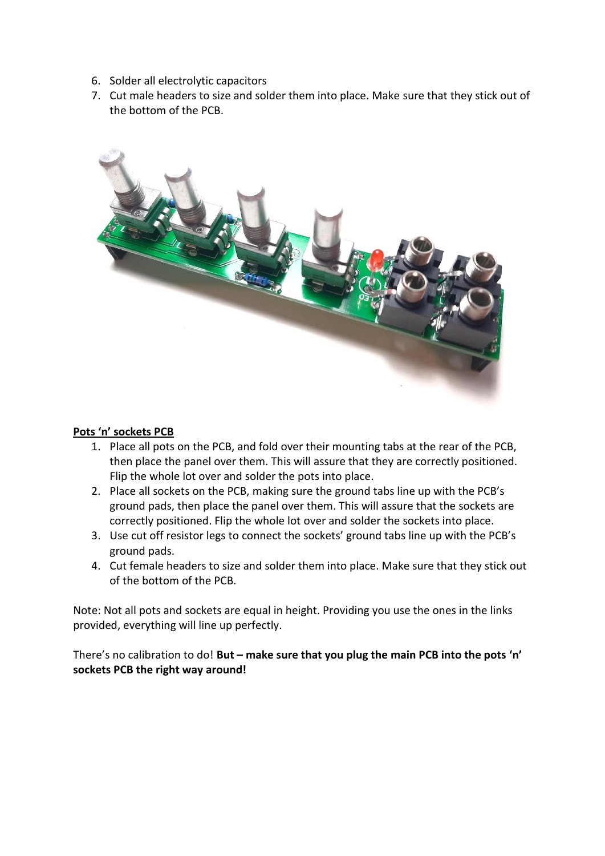- 6. Solder all electrolytic capacitors
- 7. Cut male headers to size and solder them into place. Make sure that they stick out of the bottom of the PCB.



#### **Pots 'n' sockets PCB**

- 1. Place all pots on the PCB, and fold over their mounting tabs at the rear of the PCB, then place the panel over them. This will assure that they are correctly positioned. Flip the whole lot over and solder the pots into place.
- 2. Place all sockets on the PCB, making sure the ground tabs line up with the PCB's ground pads, then place the panel over them. This will assure that the sockets are correctly positioned. Flip the whole lot over and solder the sockets into place.
- 3. Use cut off resistor legs to connect the sockets' ground tabs line up with the PCB's ground pads.
- 4. Cut female headers to size and solder them into place. Make sure that they stick out of the bottom of the PCB.

Note: Not all pots and sockets are equal in height. Providing you use the ones in the links provided, everything will line up perfectly.

There's no calibration to do! **But – make sure that you plug the main PCB into the pots 'n' sockets PCB the right way around!**